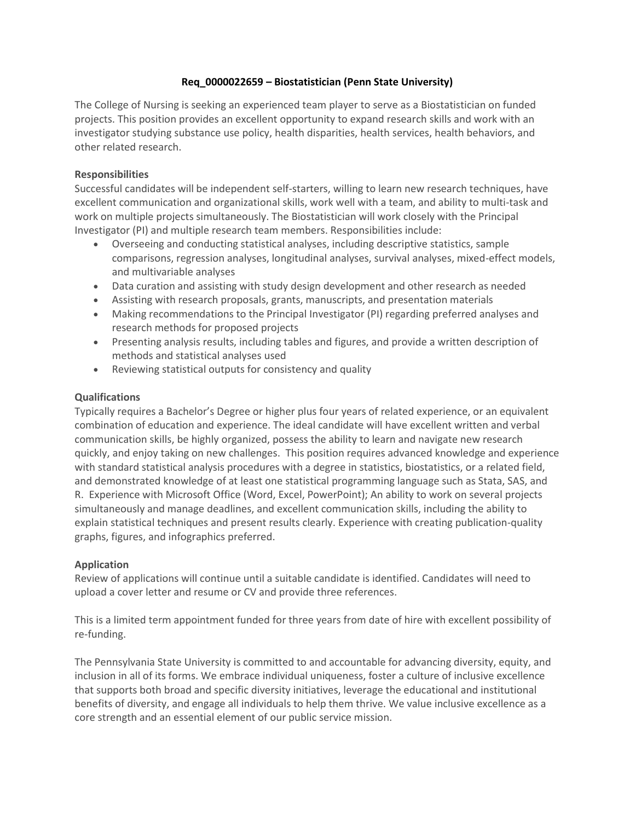# **Req\_0000022659 – Biostatistician (Penn State University)**

The College of Nursing is seeking an experienced team player to serve as a Biostatistician on funded projects. This position provides an excellent opportunity to expand research skills and work with an investigator studying substance use policy, health disparities, health services, health behaviors, and other related research.

### **Responsibilities**

Successful candidates will be independent self-starters, willing to learn new research techniques, have excellent communication and organizational skills, work well with a team, and ability to multi-task and work on multiple projects simultaneously. The Biostatistician will work closely with the Principal Investigator (PI) and multiple research team members. Responsibilities include:

- Overseeing and conducting statistical analyses, including descriptive statistics, sample comparisons, regression analyses, longitudinal analyses, survival analyses, mixed-effect models, and multivariable analyses
- Data curation and assisting with study design development and other research as needed
- Assisting with research proposals, grants, manuscripts, and presentation materials
- Making recommendations to the Principal Investigator (PI) regarding preferred analyses and research methods for proposed projects
- Presenting analysis results, including tables and figures, and provide a written description of methods and statistical analyses used
- Reviewing statistical outputs for consistency and quality

### **Qualifications**

Typically requires a Bachelor's Degree or higher plus four years of related experience, or an equivalent combination of education and experience. The ideal candidate will have excellent written and verbal communication skills, be highly organized, possess the ability to learn and navigate new research quickly, and enjoy taking on new challenges. This position requires advanced knowledge and experience with standard statistical analysis procedures with a degree in statistics, biostatistics, or a related field, and demonstrated knowledge of at least one statistical programming language such as Stata, SAS, and R. Experience with Microsoft Office (Word, Excel, PowerPoint); An ability to work on several projects simultaneously and manage deadlines, and excellent communication skills, including the ability to explain statistical techniques and present results clearly. Experience with creating publication-quality graphs, figures, and infographics preferred.

### **Application**

Review of applications will continue until a suitable candidate is identified. Candidates will need to upload a cover letter and resume or CV and provide three references.

This is a limited term appointment funded for three years from date of hire with excellent possibility of re-funding.

The Pennsylvania State University is committed to and accountable for advancing diversity, equity, and inclusion in all of its forms. We embrace individual uniqueness, foster a culture of inclusive excellence that supports both broad and specific diversity initiatives, leverage the educational and institutional benefits of diversity, and engage all individuals to help them thrive. We value inclusive excellence as a core strength and an essential element of our public service mission.